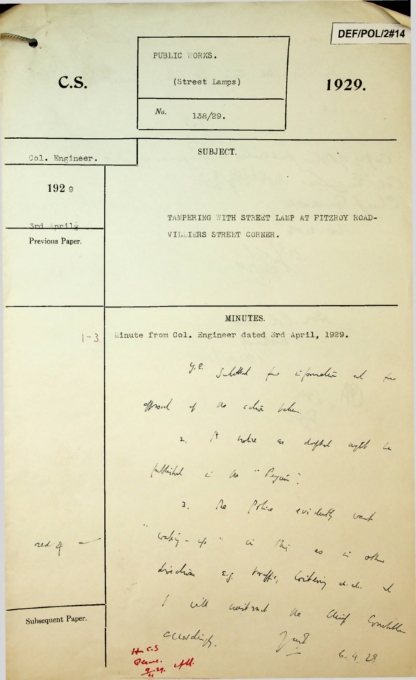*I DEF/POL/2#14* PUBLIC WORKS. **C.S.** (Street Lamps) 1929. *No.* 138/29. SUBJECT. Col. Engineer. 192 <sup>9</sup> TAMPERING UITH STREET LAMP AT FITZROY ROAD-3rd April -VILLIERS STREET CORNER. Previous Paper. MINUTES.  $-3$  Minute from Col. Engineer dated 3rd April, 1929. g.e. subthat for information at the Wood of no citien below. 2. It where an dighed aget be (Whichal is the "Payer" 3. Ne Police svidents work " calig - 4 " in the as a other red 4 *^k, K* 1 with event and the chief Emilia Subsequent Paper. ccurdif. Jul  $6.4.28$ 1 c.s<br>Para: 44.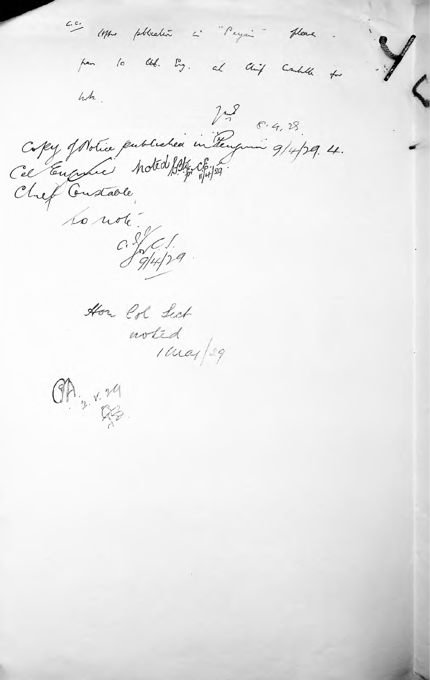c.c. Mrs phhealtie L' Peyer " please pen 10 lbb. Eng. al lhip could for Copy of Notice published in Tenguin 9/4/29.4. ole :<br>C. S. C. S. a. to note How Col Lect worted I may /29  $\frac{1}{2}$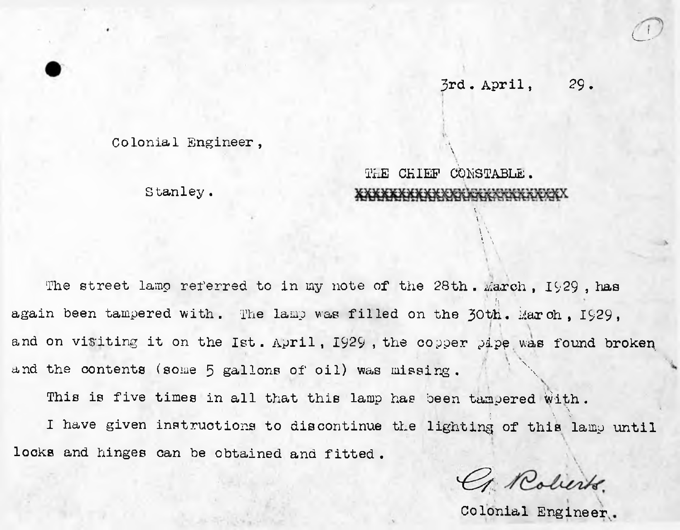## 3rd. April, 29.

**CL**

Colonial Engineer ,

 $\overline{.}$ THE CHIEF CONSTABLE.

**A'** -.1 **\**

> $\mathbf{r}$ **w**

Stanley .

The street lamp referred to in my note of the  $28th$ . March,  $1929$ , has again been tampered with. The lamp was filled on the 30th. March, 1929, and on visiting it on the Ist. April, 1929, the copper pipe was found broken and the contents (some  $5$  gallons of oil) was missing.

This is five times in all that this lamp has been tampered with  $\cdot$ I have given instructions to discontinue the lighting of this lamp until locks and hinges can be obtained and fitted .

G. Roberts.

Colonial Engineer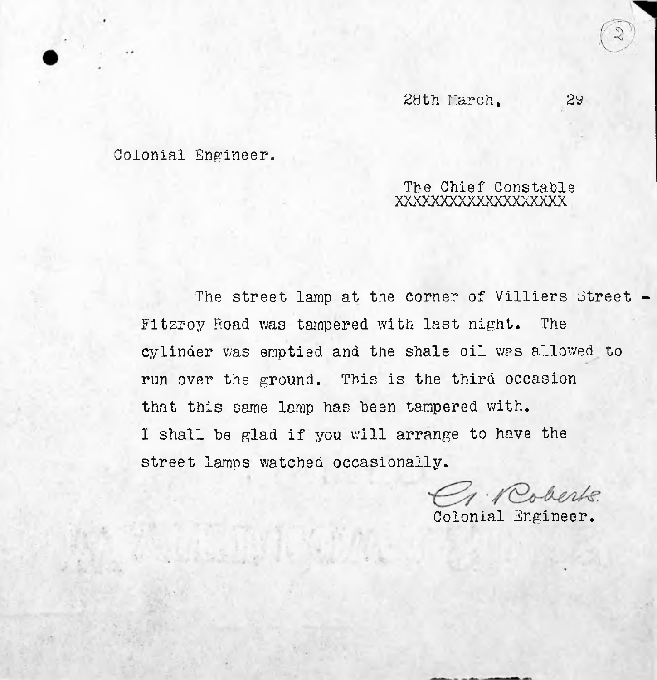Colonial Engineer.

## The Chief Constable XXXXXXXXXXXXXXXXXX

run over the ground. This is the third occasionthat this same lamp has been tampered with. <sup>I</sup> shall be glad if you will arrange to have the street lamps watched occasionally. The street lamp at the corner of Villiers Street -Fitzroy Road was tampered with last night. The cylinder was emptied and tne shale oil was allowed to

J. Roberts.

Colonial Engineer.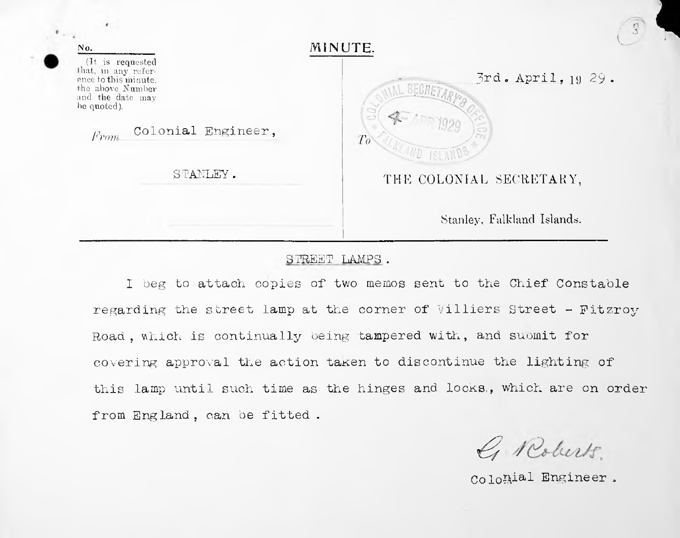| No.                                                                                                                                                   | MINUTE.                                         |
|-------------------------------------------------------------------------------------------------------------------------------------------------------|-------------------------------------------------|
| (It is requested<br>that, in any refer-<br>ence to this minute.<br>the above Number<br>and the date may<br>be quoted).<br>Colonial Engineer,<br>From. | 3rd. April, 1929.<br>SEGRET<br>To<br>AND ISLAND |
| STANLEY.                                                                                                                                              | THE COLONIAL SECRETARY,                         |
|                                                                                                                                                       | Stanley, Falkland Islands.                      |

## STREET LAMPS .

1 beg to attach copies of two memos sent to the Chief Constable regarding the street lamp at the corner of Villiers Street - Fitzroy Road, which is continually being tampered with, and submit for covering approval the action taken to discontinue the lighting of this lamp until such time as the hinges and locks., which are on order from England, can be fitted .

G Roberts.

Colonial Engineer .